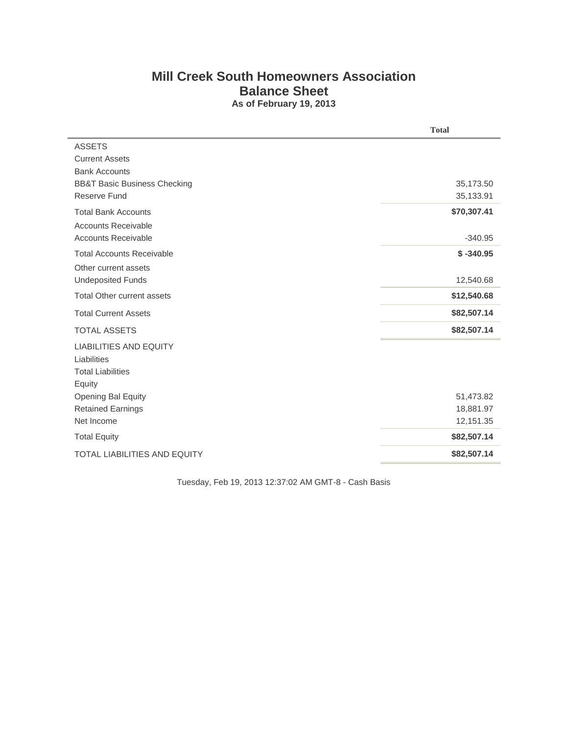## **Mill Creek South Homeowners Association Balance Sheet As of February 19, 2013**

|                                         | <b>Total</b> |
|-----------------------------------------|--------------|
| <b>ASSETS</b>                           |              |
| <b>Current Assets</b>                   |              |
| <b>Bank Accounts</b>                    |              |
| <b>BB&amp;T Basic Business Checking</b> | 35,173.50    |
| Reserve Fund                            | 35,133.91    |
| <b>Total Bank Accounts</b>              | \$70,307.41  |
| <b>Accounts Receivable</b>              |              |
| <b>Accounts Receivable</b>              | $-340.95$    |
| <b>Total Accounts Receivable</b>        | $$ -340.95$  |
| Other current assets                    |              |
| <b>Undeposited Funds</b>                | 12,540.68    |
| <b>Total Other current assets</b>       | \$12,540.68  |
| <b>Total Current Assets</b>             | \$82,507.14  |
| <b>TOTAL ASSETS</b>                     | \$82,507.14  |
| <b>LIABILITIES AND EQUITY</b>           |              |
| Liabilities                             |              |
| <b>Total Liabilities</b>                |              |
| Equity                                  |              |
| Opening Bal Equity                      | 51,473.82    |
| <b>Retained Earnings</b>                | 18,881.97    |
| Net Income                              | 12,151.35    |
| <b>Total Equity</b>                     | \$82,507.14  |
| <b>TOTAL LIABILITIES AND EQUITY</b>     | \$82,507.14  |
|                                         |              |

Tuesday, Feb 19, 2013 12:37:02 AM GMT-8 - Cash Basis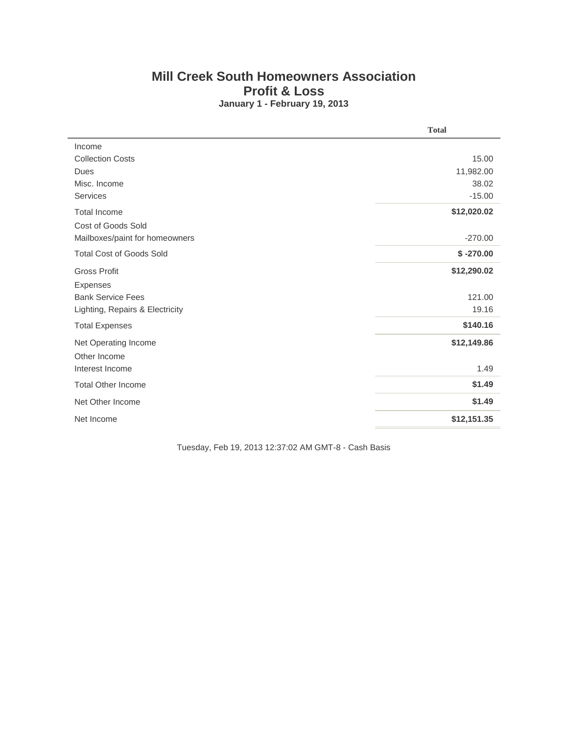## **Mill Creek South Homeowners Association Profit & Loss January 1 - February 19, 2013**

|                                 | <b>Total</b> |
|---------------------------------|--------------|
| Income                          |              |
| <b>Collection Costs</b>         | 15.00        |
| Dues                            | 11,982.00    |
| Misc. Income                    | 38.02        |
| <b>Services</b>                 | $-15.00$     |
| <b>Total Income</b>             | \$12,020.02  |
| Cost of Goods Sold              |              |
| Mailboxes/paint for homeowners  | $-270.00$    |
| <b>Total Cost of Goods Sold</b> | $$ -270.00$  |
| <b>Gross Profit</b>             | \$12,290.02  |
| <b>Expenses</b>                 |              |
| <b>Bank Service Fees</b>        | 121.00       |
| Lighting, Repairs & Electricity | 19.16        |
| <b>Total Expenses</b>           | \$140.16     |
| Net Operating Income            | \$12,149.86  |
| Other Income                    |              |
| Interest Income                 | 1.49         |
| <b>Total Other Income</b>       | \$1.49       |
| Net Other Income                | \$1.49       |
| Net Income                      | \$12,151.35  |

Tuesday, Feb 19, 2013 12:37:02 AM GMT-8 - Cash Basis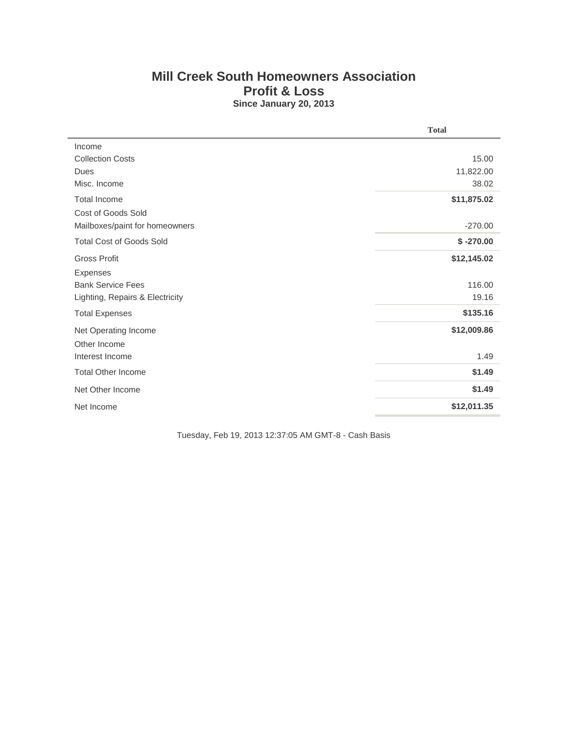## **Mill Creek South Homeowners Association Profit & Loss Since January 20, 2013**

|                                 | <b>Total</b> |  |  |  |
|---------------------------------|--------------|--|--|--|
| Income                          |              |  |  |  |
| <b>Collection Costs</b>         | 15.00        |  |  |  |
| Dues                            | 11,822.00    |  |  |  |
| Misc. Income                    | 38.02        |  |  |  |
| <b>Total Income</b>             | \$11,875.02  |  |  |  |
| Cost of Goods Sold              |              |  |  |  |
| Mailboxes/paint for homeowners  | $-270.00$    |  |  |  |
| <b>Total Cost of Goods Sold</b> | $$ -270.00$  |  |  |  |
| <b>Gross Profit</b>             | \$12,145.02  |  |  |  |
| Expenses                        |              |  |  |  |
| <b>Bank Service Fees</b>        | 116.00       |  |  |  |
| Lighting, Repairs & Electricity | 19.16        |  |  |  |
| <b>Total Expenses</b>           | \$135.16     |  |  |  |
| Net Operating Income            | \$12,009.86  |  |  |  |
| Other Income                    |              |  |  |  |
| Interest Income                 | 1.49         |  |  |  |
| <b>Total Other Income</b>       | \$1.49       |  |  |  |
| Net Other Income                | \$1.49       |  |  |  |
| Net Income                      | \$12,011.35  |  |  |  |

Tuesday, Feb 19, 2013 12:37:05 AM GMT-8 - Cash Basis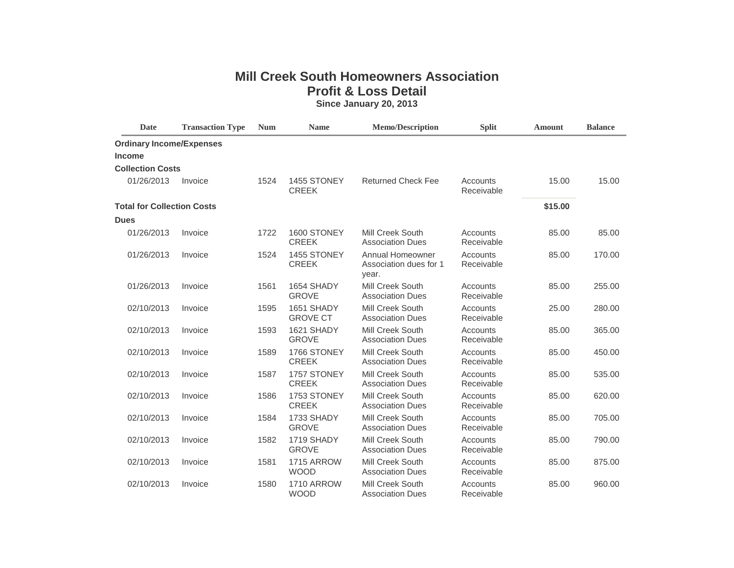## **Mill Creek South Homeowners Association Profit & Loss Detail**

**Since January 20, 2013**

| <b>Date</b>                       | <b>Transaction Type</b> | <b>Num</b> | <b>Name</b>                      | <b>Memo/Description</b>                             | <b>Split</b>           | <b>Amount</b> | <b>Balance</b> |
|-----------------------------------|-------------------------|------------|----------------------------------|-----------------------------------------------------|------------------------|---------------|----------------|
| <b>Ordinary Income/Expenses</b>   |                         |            |                                  |                                                     |                        |               |                |
| <b>Income</b>                     |                         |            |                                  |                                                     |                        |               |                |
| <b>Collection Costs</b>           |                         |            |                                  |                                                     |                        |               |                |
| 01/26/2013                        | Invoice                 | 1524       | 1455 STONEY<br><b>CREEK</b>      | <b>Returned Check Fee</b>                           | Accounts<br>Receivable | 15.00         | 15.00          |
| <b>Total for Collection Costs</b> |                         |            |                                  |                                                     |                        | \$15.00       |                |
| <b>Dues</b>                       |                         |            |                                  |                                                     |                        |               |                |
| 01/26/2013                        | Invoice                 | 1722       | 1600 STONEY<br><b>CREEK</b>      | Mill Creek South<br><b>Association Dues</b>         | Accounts<br>Receivable | 85.00         | 85.00          |
| 01/26/2013                        | Invoice                 | 1524       | 1455 STONEY<br><b>CREEK</b>      | Annual Homeowner<br>Association dues for 1<br>year. | Accounts<br>Receivable | 85.00         | 170.00         |
| 01/26/2013                        | Invoice                 | 1561       | 1654 SHADY<br><b>GROVE</b>       | Mill Creek South<br><b>Association Dues</b>         | Accounts<br>Receivable | 85.00         | 255.00         |
| 02/10/2013                        | Invoice                 | 1595       | 1651 SHADY<br><b>GROVE CT</b>    | Mill Creek South<br><b>Association Dues</b>         | Accounts<br>Receivable | 25.00         | 280.00         |
| 02/10/2013                        | Invoice                 | 1593       | 1621 SHADY<br><b>GROVE</b>       | Mill Creek South<br><b>Association Dues</b>         | Accounts<br>Receivable | 85.00         | 365.00         |
| 02/10/2013                        | Invoice                 | 1589       | 1766 STONEY<br><b>CREEK</b>      | Mill Creek South<br><b>Association Dues</b>         | Accounts<br>Receivable | 85.00         | 450.00         |
| 02/10/2013                        | Invoice                 | 1587       | 1757 STONEY<br><b>CREEK</b>      | Mill Creek South<br><b>Association Dues</b>         | Accounts<br>Receivable | 85.00         | 535.00         |
| 02/10/2013                        | Invoice                 | 1586       | 1753 STONEY<br><b>CREEK</b>      | <b>Mill Creek South</b><br><b>Association Dues</b>  | Accounts<br>Receivable | 85.00         | 620.00         |
| 02/10/2013                        | Invoice                 | 1584       | 1733 SHADY<br><b>GROVE</b>       | Mill Creek South<br><b>Association Dues</b>         | Accounts<br>Receivable | 85.00         | 705.00         |
| 02/10/2013                        | Invoice                 | 1582       | 1719 SHADY<br><b>GROVE</b>       | Mill Creek South<br><b>Association Dues</b>         | Accounts<br>Receivable | 85.00         | 790.00         |
| 02/10/2013                        | Invoice                 | 1581       | <b>1715 ARROW</b><br><b>WOOD</b> | <b>Mill Creek South</b><br><b>Association Dues</b>  | Accounts<br>Receivable | 85.00         | 875.00         |
| 02/10/2013                        | Invoice                 | 1580       | <b>1710 ARROW</b><br><b>WOOD</b> | Mill Creek South<br><b>Association Dues</b>         | Accounts<br>Receivable | 85.00         | 960.00         |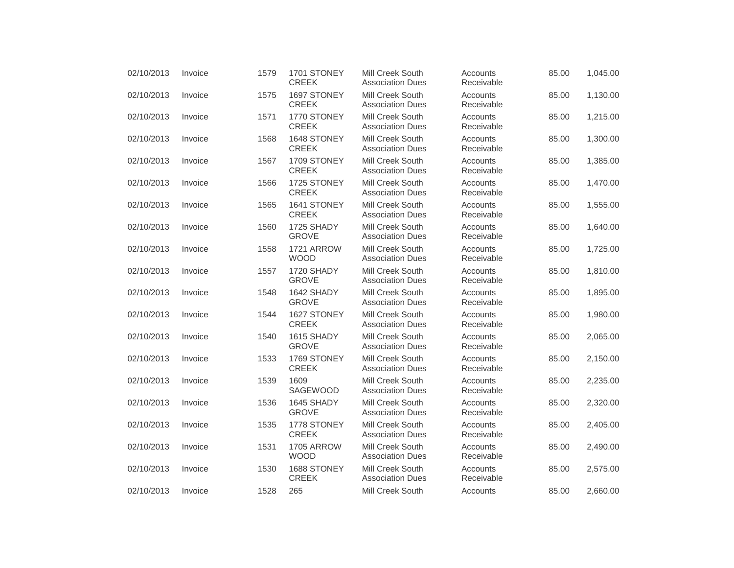| 02/10/2013 | Invoice | 1579 | 1701 STONEY<br><b>CREEK</b>      | <b>Mill Creek South</b><br><b>Association Dues</b> | Accounts<br>Receivable | 85.00 | 1,045.00 |
|------------|---------|------|----------------------------------|----------------------------------------------------|------------------------|-------|----------|
| 02/10/2013 | Invoice | 1575 | 1697 STONEY<br><b>CREEK</b>      | Mill Creek South<br><b>Association Dues</b>        | Accounts<br>Receivable | 85.00 | 1,130.00 |
| 02/10/2013 | Invoice | 1571 | 1770 STONEY<br><b>CREEK</b>      | Mill Creek South<br><b>Association Dues</b>        | Accounts<br>Receivable | 85.00 | 1,215.00 |
| 02/10/2013 | Invoice | 1568 | 1648 STONEY<br><b>CREEK</b>      | Mill Creek South<br><b>Association Dues</b>        | Accounts<br>Receivable | 85.00 | 1,300.00 |
| 02/10/2013 | Invoice | 1567 | 1709 STONEY<br><b>CREEK</b>      | Mill Creek South<br><b>Association Dues</b>        | Accounts<br>Receivable | 85.00 | 1,385.00 |
| 02/10/2013 | Invoice | 1566 | 1725 STONEY<br><b>CREEK</b>      | Mill Creek South<br><b>Association Dues</b>        | Accounts<br>Receivable | 85.00 | 1,470.00 |
| 02/10/2013 | Invoice | 1565 | 1641 STONEY<br><b>CREEK</b>      | Mill Creek South<br><b>Association Dues</b>        | Accounts<br>Receivable | 85.00 | 1,555.00 |
| 02/10/2013 | Invoice | 1560 | 1725 SHADY<br><b>GROVE</b>       | Mill Creek South<br><b>Association Dues</b>        | Accounts<br>Receivable | 85.00 | 1,640.00 |
| 02/10/2013 | Invoice | 1558 | 1721 ARROW<br><b>WOOD</b>        | Mill Creek South<br><b>Association Dues</b>        | Accounts<br>Receivable | 85.00 | 1,725.00 |
| 02/10/2013 | Invoice | 1557 | 1720 SHADY<br><b>GROVE</b>       | Mill Creek South<br><b>Association Dues</b>        | Accounts<br>Receivable | 85.00 | 1,810.00 |
| 02/10/2013 | Invoice | 1548 | 1642 SHADY<br><b>GROVE</b>       | <b>Mill Creek South</b><br><b>Association Dues</b> | Accounts<br>Receivable | 85.00 | 1,895.00 |
| 02/10/2013 | Invoice | 1544 | 1627 STONEY<br><b>CREEK</b>      | Mill Creek South<br><b>Association Dues</b>        | Accounts<br>Receivable | 85.00 | 1,980.00 |
| 02/10/2013 | Invoice | 1540 | 1615 SHADY<br><b>GROVE</b>       | Mill Creek South<br><b>Association Dues</b>        | Accounts<br>Receivable | 85.00 | 2,065.00 |
| 02/10/2013 | Invoice | 1533 | 1769 STONEY<br><b>CREEK</b>      | Mill Creek South<br><b>Association Dues</b>        | Accounts<br>Receivable | 85.00 | 2,150.00 |
| 02/10/2013 | Invoice | 1539 | 1609<br>SAGEWOOD                 | Mill Creek South<br><b>Association Dues</b>        | Accounts<br>Receivable | 85.00 | 2,235.00 |
| 02/10/2013 | Invoice | 1536 | 1645 SHADY<br><b>GROVE</b>       | Mill Creek South<br><b>Association Dues</b>        | Accounts<br>Receivable | 85.00 | 2,320.00 |
| 02/10/2013 | Invoice | 1535 | 1778 STONEY<br><b>CREEK</b>      | Mill Creek South<br><b>Association Dues</b>        | Accounts<br>Receivable | 85.00 | 2,405.00 |
| 02/10/2013 | Invoice | 1531 | <b>1705 ARROW</b><br><b>WOOD</b> | Mill Creek South<br><b>Association Dues</b>        | Accounts<br>Receivable | 85.00 | 2,490.00 |
| 02/10/2013 | Invoice | 1530 | 1688 STONEY<br><b>CREEK</b>      | Mill Creek South<br><b>Association Dues</b>        | Accounts<br>Receivable | 85.00 | 2,575.00 |
| 02/10/2013 | Invoice | 1528 | 265                              | Mill Creek South                                   | Accounts               | 85.00 | 2,660.00 |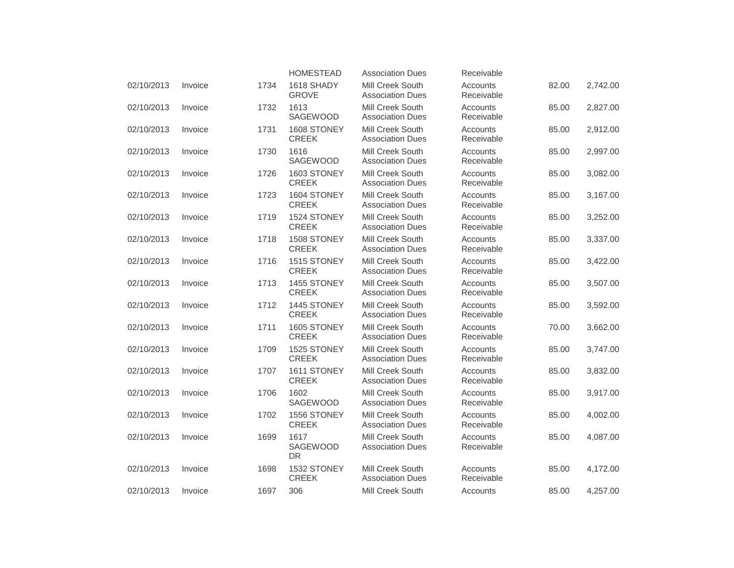|            |         |      | <b>HOMESTEAD</b>                     | <b>Association Dues</b>                     | Receivable             |       |          |
|------------|---------|------|--------------------------------------|---------------------------------------------|------------------------|-------|----------|
| 02/10/2013 | Invoice | 1734 | 1618 SHADY<br><b>GROVE</b>           | Mill Creek South<br><b>Association Dues</b> | Accounts<br>Receivable | 82.00 | 2,742.00 |
| 02/10/2013 | Invoice | 1732 | 1613<br><b>SAGEWOOD</b>              | Mill Creek South<br><b>Association Dues</b> | Accounts<br>Receivable | 85.00 | 2,827.00 |
| 02/10/2013 | Invoice | 1731 | 1608 STONEY<br><b>CREEK</b>          | Mill Creek South<br><b>Association Dues</b> | Accounts<br>Receivable | 85.00 | 2,912.00 |
| 02/10/2013 | Invoice | 1730 | 1616<br>SAGEWOOD                     | Mill Creek South<br><b>Association Dues</b> | Accounts<br>Receivable | 85.00 | 2,997.00 |
| 02/10/2013 | Invoice | 1726 | 1603 STONEY<br><b>CREEK</b>          | Mill Creek South<br><b>Association Dues</b> | Accounts<br>Receivable | 85.00 | 3,082.00 |
| 02/10/2013 | Invoice | 1723 | 1604 STONEY<br><b>CREEK</b>          | Mill Creek South<br><b>Association Dues</b> | Accounts<br>Receivable | 85.00 | 3,167.00 |
| 02/10/2013 | Invoice | 1719 | 1524 STONEY<br><b>CREEK</b>          | Mill Creek South<br><b>Association Dues</b> | Accounts<br>Receivable | 85.00 | 3,252.00 |
| 02/10/2013 | Invoice | 1718 | 1508 STONEY<br><b>CREEK</b>          | Mill Creek South<br><b>Association Dues</b> | Accounts<br>Receivable | 85.00 | 3,337.00 |
| 02/10/2013 | Invoice | 1716 | 1515 STONEY<br><b>CREEK</b>          | Mill Creek South<br><b>Association Dues</b> | Accounts<br>Receivable | 85.00 | 3,422.00 |
| 02/10/2013 | Invoice | 1713 | 1455 STONEY<br><b>CREEK</b>          | Mill Creek South<br><b>Association Dues</b> | Accounts<br>Receivable | 85.00 | 3,507.00 |
| 02/10/2013 | Invoice | 1712 | 1445 STONEY<br><b>CREEK</b>          | Mill Creek South<br><b>Association Dues</b> | Accounts<br>Receivable | 85.00 | 3,592.00 |
| 02/10/2013 | Invoice | 1711 | 1605 STONEY<br><b>CREEK</b>          | Mill Creek South<br><b>Association Dues</b> | Accounts<br>Receivable | 70.00 | 3,662.00 |
| 02/10/2013 | Invoice | 1709 | 1525 STONEY<br><b>CREEK</b>          | Mill Creek South<br><b>Association Dues</b> | Accounts<br>Receivable | 85.00 | 3,747.00 |
| 02/10/2013 | Invoice | 1707 | 1611 STONEY<br><b>CREEK</b>          | Mill Creek South<br><b>Association Dues</b> | Accounts<br>Receivable | 85.00 | 3,832.00 |
| 02/10/2013 | Invoice | 1706 | 1602<br>SAGEWOOD                     | Mill Creek South<br><b>Association Dues</b> | Accounts<br>Receivable | 85.00 | 3,917.00 |
| 02/10/2013 | Invoice | 1702 | 1556 STONEY<br><b>CREEK</b>          | Mill Creek South<br><b>Association Dues</b> | Accounts<br>Receivable | 85.00 | 4,002.00 |
| 02/10/2013 | Invoice | 1699 | 1617<br><b>SAGEWOOD</b><br><b>DR</b> | Mill Creek South<br><b>Association Dues</b> | Accounts<br>Receivable | 85.00 | 4,087.00 |
| 02/10/2013 | Invoice | 1698 | 1532 STONEY<br><b>CREEK</b>          | Mill Creek South<br><b>Association Dues</b> | Accounts<br>Receivable | 85.00 | 4,172.00 |
| 02/10/2013 | Invoice | 1697 | 306                                  | <b>Mill Creek South</b>                     | Accounts               | 85.00 | 4,257.00 |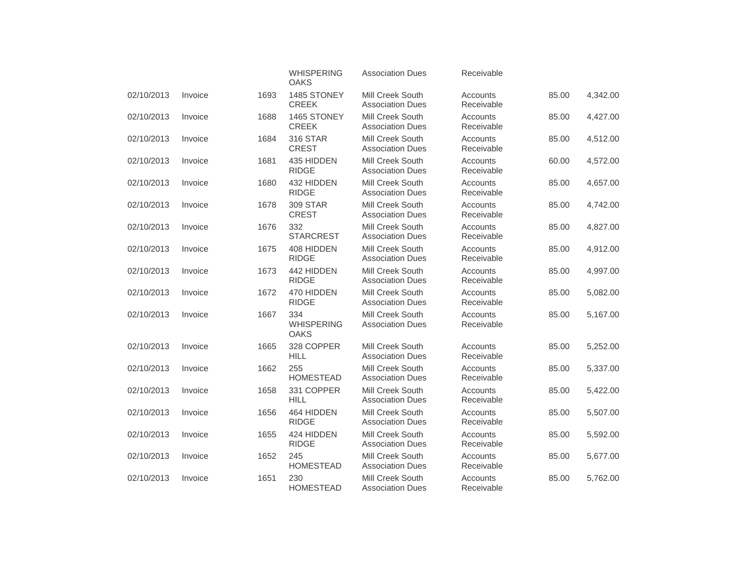|            |         |      | <b>WHISPERING</b><br><b>OAKS</b>        | <b>Association Dues</b>                     | Receivable             |       |          |
|------------|---------|------|-----------------------------------------|---------------------------------------------|------------------------|-------|----------|
| 02/10/2013 | Invoice | 1693 | 1485 STONEY<br><b>CREEK</b>             | Mill Creek South<br><b>Association Dues</b> | Accounts<br>Receivable | 85.00 | 4,342.00 |
| 02/10/2013 | Invoice | 1688 | 1465 STONEY<br><b>CREEK</b>             | Mill Creek South<br><b>Association Dues</b> | Accounts<br>Receivable | 85.00 | 4,427.00 |
| 02/10/2013 | Invoice | 1684 | <b>316 STAR</b><br><b>CREST</b>         | Mill Creek South<br><b>Association Dues</b> | Accounts<br>Receivable | 85.00 | 4,512.00 |
| 02/10/2013 | Invoice | 1681 | 435 HIDDEN<br><b>RIDGE</b>              | Mill Creek South<br><b>Association Dues</b> | Accounts<br>Receivable | 60.00 | 4,572.00 |
| 02/10/2013 | Invoice | 1680 | 432 HIDDEN<br><b>RIDGE</b>              | Mill Creek South<br><b>Association Dues</b> | Accounts<br>Receivable | 85.00 | 4,657.00 |
| 02/10/2013 | Invoice | 1678 | <b>309 STAR</b><br><b>CREST</b>         | Mill Creek South<br><b>Association Dues</b> | Accounts<br>Receivable | 85.00 | 4,742.00 |
| 02/10/2013 | Invoice | 1676 | 332<br><b>STARCREST</b>                 | Mill Creek South<br><b>Association Dues</b> | Accounts<br>Receivable | 85.00 | 4,827.00 |
| 02/10/2013 | Invoice | 1675 | 408 HIDDEN<br><b>RIDGE</b>              | Mill Creek South<br><b>Association Dues</b> | Accounts<br>Receivable | 85.00 | 4,912.00 |
| 02/10/2013 | Invoice | 1673 | 442 HIDDEN<br><b>RIDGE</b>              | Mill Creek South<br><b>Association Dues</b> | Accounts<br>Receivable | 85.00 | 4,997.00 |
| 02/10/2013 | Invoice | 1672 | 470 HIDDEN<br><b>RIDGE</b>              | Mill Creek South<br><b>Association Dues</b> | Accounts<br>Receivable | 85.00 | 5,082.00 |
| 02/10/2013 | Invoice | 1667 | 334<br><b>WHISPERING</b><br><b>OAKS</b> | Mill Creek South<br><b>Association Dues</b> | Accounts<br>Receivable | 85.00 | 5,167.00 |
| 02/10/2013 | Invoice | 1665 | 328 COPPER<br><b>HILL</b>               | Mill Creek South<br><b>Association Dues</b> | Accounts<br>Receivable | 85.00 | 5,252.00 |
| 02/10/2013 | Invoice | 1662 | 255<br><b>HOMESTEAD</b>                 | Mill Creek South<br><b>Association Dues</b> | Accounts<br>Receivable | 85.00 | 5,337.00 |
| 02/10/2013 | Invoice | 1658 | 331 COPPER<br><b>HILL</b>               | Mill Creek South<br><b>Association Dues</b> | Accounts<br>Receivable | 85.00 | 5,422.00 |
| 02/10/2013 | Invoice | 1656 | 464 HIDDEN<br><b>RIDGE</b>              | Mill Creek South<br><b>Association Dues</b> | Accounts<br>Receivable | 85.00 | 5,507.00 |
| 02/10/2013 | Invoice | 1655 | 424 HIDDEN<br><b>RIDGE</b>              | Mill Creek South<br><b>Association Dues</b> | Accounts<br>Receivable | 85.00 | 5,592.00 |
| 02/10/2013 | Invoice | 1652 | 245<br><b>HOMESTEAD</b>                 | Mill Creek South<br><b>Association Dues</b> | Accounts<br>Receivable | 85.00 | 5,677.00 |
| 02/10/2013 | Invoice | 1651 | 230<br><b>HOMESTEAD</b>                 | Mill Creek South<br><b>Association Dues</b> | Accounts<br>Receivable | 85.00 | 5,762.00 |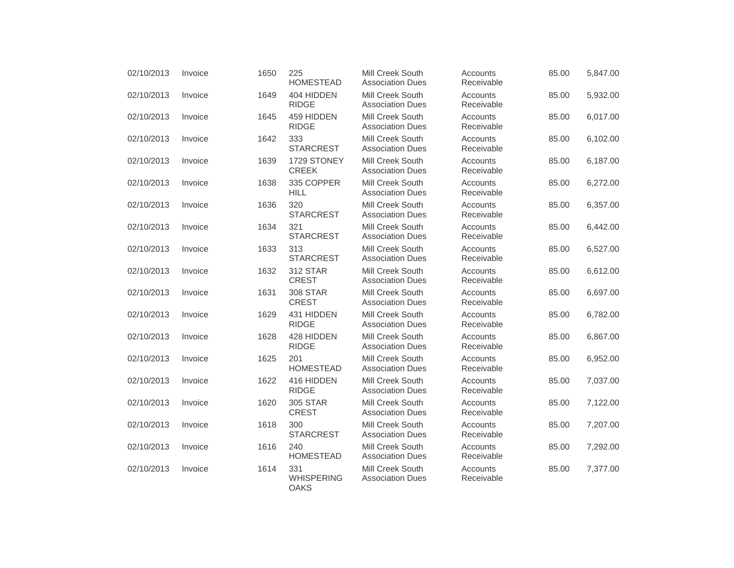| 02/10/2013 | Invoice | 1650 | 225<br><b>HOMESTEAD</b>                 | <b>Mill Creek South</b><br><b>Association Dues</b> | Accounts<br>Receivable | 85.00 | 5,847.00 |
|------------|---------|------|-----------------------------------------|----------------------------------------------------|------------------------|-------|----------|
| 02/10/2013 | Invoice | 1649 | 404 HIDDEN<br><b>RIDGE</b>              | Mill Creek South<br><b>Association Dues</b>        | Accounts<br>Receivable | 85.00 | 5,932.00 |
| 02/10/2013 | Invoice | 1645 | 459 HIDDEN<br><b>RIDGE</b>              | Mill Creek South<br><b>Association Dues</b>        | Accounts<br>Receivable | 85.00 | 6,017.00 |
| 02/10/2013 | Invoice | 1642 | 333<br><b>STARCREST</b>                 | <b>Mill Creek South</b><br><b>Association Dues</b> | Accounts<br>Receivable | 85.00 | 6,102.00 |
| 02/10/2013 | Invoice | 1639 | 1729 STONEY<br><b>CREEK</b>             | Mill Creek South<br><b>Association Dues</b>        | Accounts<br>Receivable | 85.00 | 6,187.00 |
| 02/10/2013 | Invoice | 1638 | 335 COPPER<br><b>HILL</b>               | Mill Creek South<br><b>Association Dues</b>        | Accounts<br>Receivable | 85.00 | 6,272.00 |
| 02/10/2013 | Invoice | 1636 | 320<br><b>STARCREST</b>                 | Mill Creek South<br><b>Association Dues</b>        | Accounts<br>Receivable | 85.00 | 6,357.00 |
| 02/10/2013 | Invoice | 1634 | 321<br><b>STARCREST</b>                 | Mill Creek South<br><b>Association Dues</b>        | Accounts<br>Receivable | 85.00 | 6,442.00 |
| 02/10/2013 | Invoice | 1633 | 313<br><b>STARCREST</b>                 | Mill Creek South<br><b>Association Dues</b>        | Accounts<br>Receivable | 85.00 | 6,527.00 |
| 02/10/2013 | Invoice | 1632 | <b>312 STAR</b><br><b>CREST</b>         | Mill Creek South<br><b>Association Dues</b>        | Accounts<br>Receivable | 85.00 | 6,612.00 |
| 02/10/2013 | Invoice | 1631 | <b>308 STAR</b><br><b>CREST</b>         | Mill Creek South<br><b>Association Dues</b>        | Accounts<br>Receivable | 85.00 | 6,697.00 |
| 02/10/2013 | Invoice | 1629 | 431 HIDDEN<br><b>RIDGE</b>              | Mill Creek South<br><b>Association Dues</b>        | Accounts<br>Receivable | 85.00 | 6,782.00 |
| 02/10/2013 | Invoice | 1628 | 428 HIDDEN<br><b>RIDGE</b>              | Mill Creek South<br><b>Association Dues</b>        | Accounts<br>Receivable | 85.00 | 6,867.00 |
| 02/10/2013 | Invoice | 1625 | 201<br><b>HOMESTEAD</b>                 | Mill Creek South<br><b>Association Dues</b>        | Accounts<br>Receivable | 85.00 | 6,952.00 |
| 02/10/2013 | Invoice | 1622 | 416 HIDDEN<br><b>RIDGE</b>              | Mill Creek South<br><b>Association Dues</b>        | Accounts<br>Receivable | 85.00 | 7,037.00 |
| 02/10/2013 | Invoice | 1620 | <b>305 STAR</b><br><b>CREST</b>         | Mill Creek South<br><b>Association Dues</b>        | Accounts<br>Receivable | 85.00 | 7,122.00 |
| 02/10/2013 | Invoice | 1618 | 300<br><b>STARCREST</b>                 | Mill Creek South<br><b>Association Dues</b>        | Accounts<br>Receivable | 85.00 | 7,207.00 |
| 02/10/2013 | Invoice | 1616 | 240<br><b>HOMESTEAD</b>                 | Mill Creek South<br><b>Association Dues</b>        | Accounts<br>Receivable | 85.00 | 7,292.00 |
| 02/10/2013 | Invoice | 1614 | 331<br><b>WHISPERING</b><br><b>OAKS</b> | Mill Creek South<br><b>Association Dues</b>        | Accounts<br>Receivable | 85.00 | 7,377.00 |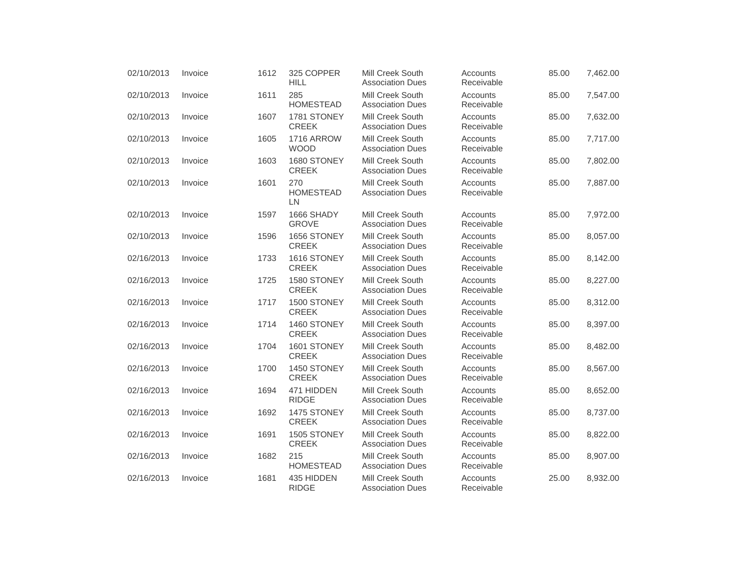| 02/10/2013 | Invoice | 1612 | 325 COPPER<br><b>HILL</b>        | <b>Mill Creek South</b><br><b>Association Dues</b> | Accounts<br>Receivable | 85.00 | 7,462.00 |
|------------|---------|------|----------------------------------|----------------------------------------------------|------------------------|-------|----------|
| 02/10/2013 | Invoice | 1611 | 285<br><b>HOMESTEAD</b>          | Mill Creek South<br><b>Association Dues</b>        | Accounts<br>Receivable | 85.00 | 7,547.00 |
| 02/10/2013 | Invoice | 1607 | 1781 STONEY<br><b>CREEK</b>      | Mill Creek South<br><b>Association Dues</b>        | Accounts<br>Receivable | 85.00 | 7,632.00 |
| 02/10/2013 | Invoice | 1605 | <b>1716 ARROW</b><br><b>WOOD</b> | Mill Creek South<br><b>Association Dues</b>        | Accounts<br>Receivable | 85.00 | 7,717.00 |
| 02/10/2013 | Invoice | 1603 | 1680 STONEY<br><b>CREEK</b>      | Mill Creek South<br><b>Association Dues</b>        | Accounts<br>Receivable | 85.00 | 7,802.00 |
| 02/10/2013 | Invoice | 1601 | 270<br><b>HOMESTEAD</b><br>LN    | Mill Creek South<br><b>Association Dues</b>        | Accounts<br>Receivable | 85.00 | 7,887.00 |
| 02/10/2013 | Invoice | 1597 | 1666 SHADY<br><b>GROVE</b>       | Mill Creek South<br><b>Association Dues</b>        | Accounts<br>Receivable | 85.00 | 7,972.00 |
| 02/10/2013 | Invoice | 1596 | 1656 STONEY<br><b>CREEK</b>      | Mill Creek South<br><b>Association Dues</b>        | Accounts<br>Receivable | 85.00 | 8,057.00 |
| 02/16/2013 | Invoice | 1733 | 1616 STONEY<br><b>CREEK</b>      | Mill Creek South<br><b>Association Dues</b>        | Accounts<br>Receivable | 85.00 | 8,142.00 |
| 02/16/2013 | Invoice | 1725 | 1580 STONEY<br><b>CREEK</b>      | Mill Creek South<br><b>Association Dues</b>        | Accounts<br>Receivable | 85.00 | 8,227.00 |
| 02/16/2013 | Invoice | 1717 | 1500 STONEY<br><b>CREEK</b>      | Mill Creek South<br><b>Association Dues</b>        | Accounts<br>Receivable | 85.00 | 8,312.00 |
| 02/16/2013 | Invoice | 1714 | 1460 STONEY<br><b>CREEK</b>      | Mill Creek South<br><b>Association Dues</b>        | Accounts<br>Receivable | 85.00 | 8,397.00 |
| 02/16/2013 | Invoice | 1704 | 1601 STONEY<br><b>CREEK</b>      | Mill Creek South<br><b>Association Dues</b>        | Accounts<br>Receivable | 85.00 | 8,482.00 |
| 02/16/2013 | Invoice | 1700 | 1450 STONEY<br><b>CREEK</b>      | Mill Creek South<br><b>Association Dues</b>        | Accounts<br>Receivable | 85.00 | 8,567.00 |
| 02/16/2013 | Invoice | 1694 | 471 HIDDEN<br><b>RIDGE</b>       | Mill Creek South<br><b>Association Dues</b>        | Accounts<br>Receivable | 85.00 | 8,652.00 |
| 02/16/2013 | Invoice | 1692 | 1475 STONEY<br><b>CREEK</b>      | Mill Creek South<br><b>Association Dues</b>        | Accounts<br>Receivable | 85.00 | 8,737.00 |
| 02/16/2013 | Invoice | 1691 | 1505 STONEY<br><b>CREEK</b>      | Mill Creek South<br><b>Association Dues</b>        | Accounts<br>Receivable | 85.00 | 8,822.00 |
| 02/16/2013 | Invoice | 1682 | 215<br><b>HOMESTEAD</b>          | Mill Creek South<br><b>Association Dues</b>        | Accounts<br>Receivable | 85.00 | 8,907.00 |
| 02/16/2013 | Invoice | 1681 | 435 HIDDEN<br><b>RIDGE</b>       | Mill Creek South<br><b>Association Dues</b>        | Accounts<br>Receivable | 25.00 | 8,932.00 |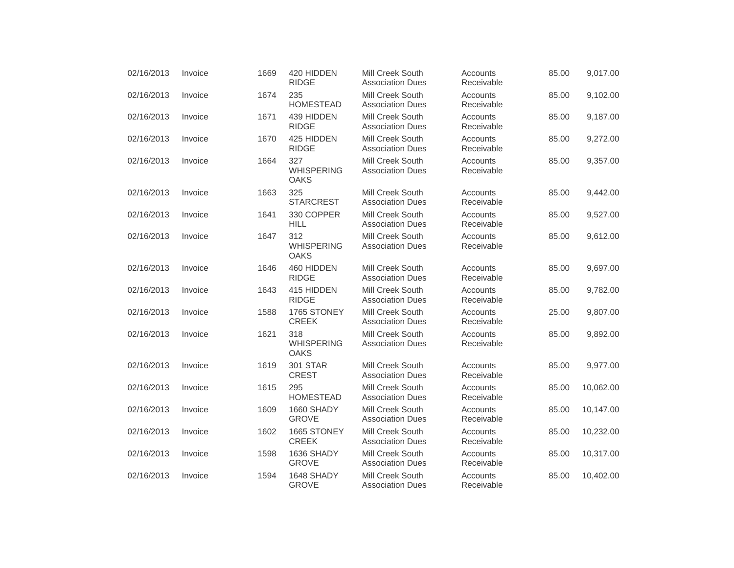| 02/16/2013 | Invoice | 1669 | 420 HIDDEN<br><b>RIDGE</b>              | <b>Mill Creek South</b><br><b>Association Dues</b> | Accounts<br>Receivable | 85.00 | 9,017.00  |
|------------|---------|------|-----------------------------------------|----------------------------------------------------|------------------------|-------|-----------|
| 02/16/2013 | Invoice | 1674 | 235<br><b>HOMESTEAD</b>                 | Mill Creek South<br><b>Association Dues</b>        | Accounts<br>Receivable | 85.00 | 9,102.00  |
| 02/16/2013 | Invoice | 1671 | 439 HIDDEN<br><b>RIDGE</b>              | Mill Creek South<br><b>Association Dues</b>        | Accounts<br>Receivable | 85.00 | 9,187.00  |
| 02/16/2013 | Invoice | 1670 | 425 HIDDEN<br><b>RIDGE</b>              | Mill Creek South<br><b>Association Dues</b>        | Accounts<br>Receivable | 85.00 | 9,272.00  |
| 02/16/2013 | Invoice | 1664 | 327<br><b>WHISPERING</b><br><b>OAKS</b> | Mill Creek South<br><b>Association Dues</b>        | Accounts<br>Receivable | 85.00 | 9,357.00  |
| 02/16/2013 | Invoice | 1663 | 325<br><b>STARCREST</b>                 | <b>Mill Creek South</b><br><b>Association Dues</b> | Accounts<br>Receivable | 85.00 | 9,442.00  |
| 02/16/2013 | Invoice | 1641 | 330 COPPER<br><b>HILL</b>               | Mill Creek South<br><b>Association Dues</b>        | Accounts<br>Receivable | 85.00 | 9,527.00  |
| 02/16/2013 | Invoice | 1647 | 312<br><b>WHISPERING</b><br><b>OAKS</b> | Mill Creek South<br><b>Association Dues</b>        | Accounts<br>Receivable | 85.00 | 9,612.00  |
| 02/16/2013 | Invoice | 1646 | 460 HIDDEN<br><b>RIDGE</b>              | <b>Mill Creek South</b><br><b>Association Dues</b> | Accounts<br>Receivable | 85.00 | 9,697.00  |
| 02/16/2013 | Invoice | 1643 | 415 HIDDEN<br><b>RIDGE</b>              | Mill Creek South<br><b>Association Dues</b>        | Accounts<br>Receivable | 85.00 | 9,782.00  |
| 02/16/2013 | Invoice | 1588 | 1765 STONEY<br><b>CREEK</b>             | Mill Creek South<br><b>Association Dues</b>        | Accounts<br>Receivable | 25.00 | 9,807.00  |
| 02/16/2013 | Invoice | 1621 | 318<br><b>WHISPERING</b><br><b>OAKS</b> | Mill Creek South<br><b>Association Dues</b>        | Accounts<br>Receivable | 85.00 | 9,892.00  |
| 02/16/2013 | Invoice | 1619 | <b>301 STAR</b><br><b>CREST</b>         | <b>Mill Creek South</b><br><b>Association Dues</b> | Accounts<br>Receivable | 85.00 | 9,977.00  |
| 02/16/2013 | Invoice | 1615 | 295<br><b>HOMESTEAD</b>                 | Mill Creek South<br><b>Association Dues</b>        | Accounts<br>Receivable | 85.00 | 10,062.00 |
| 02/16/2013 | Invoice | 1609 | 1660 SHADY<br><b>GROVE</b>              | Mill Creek South<br><b>Association Dues</b>        | Accounts<br>Receivable | 85.00 | 10,147.00 |
| 02/16/2013 | Invoice | 1602 | 1665 STONEY<br><b>CREEK</b>             | Mill Creek South<br><b>Association Dues</b>        | Accounts<br>Receivable | 85.00 | 10,232.00 |
| 02/16/2013 | Invoice | 1598 | 1636 SHADY<br><b>GROVE</b>              | Mill Creek South<br><b>Association Dues</b>        | Accounts<br>Receivable | 85.00 | 10,317.00 |
| 02/16/2013 | Invoice | 1594 | 1648 SHADY<br><b>GROVE</b>              | Mill Creek South<br><b>Association Dues</b>        | Accounts<br>Receivable | 85.00 | 10,402.00 |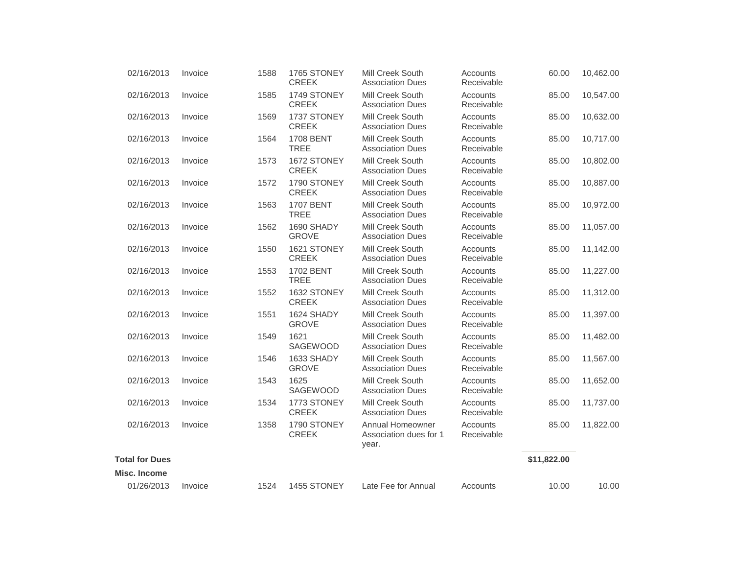| 02/16/2013            | Invoice | 1588 | 1765 STONEY<br><b>CREEK</b>     | <b>Mill Creek South</b><br><b>Association Dues</b>  | Accounts<br>Receivable | 60.00       | 10,462.00 |
|-----------------------|---------|------|---------------------------------|-----------------------------------------------------|------------------------|-------------|-----------|
| 02/16/2013            | Invoice | 1585 | 1749 STONEY<br><b>CREEK</b>     | Mill Creek South<br><b>Association Dues</b>         | Accounts<br>Receivable | 85.00       | 10,547.00 |
| 02/16/2013            | Invoice | 1569 | 1737 STONEY<br><b>CREEK</b>     | Mill Creek South<br><b>Association Dues</b>         | Accounts<br>Receivable | 85.00       | 10,632.00 |
| 02/16/2013            | Invoice | 1564 | <b>1708 BENT</b><br><b>TREE</b> | Mill Creek South<br><b>Association Dues</b>         | Accounts<br>Receivable | 85.00       | 10,717.00 |
| 02/16/2013            | Invoice | 1573 | 1672 STONEY<br><b>CREEK</b>     | Mill Creek South<br><b>Association Dues</b>         | Accounts<br>Receivable | 85.00       | 10,802.00 |
| 02/16/2013            | Invoice | 1572 | 1790 STONEY<br><b>CREEK</b>     | <b>Mill Creek South</b><br><b>Association Dues</b>  | Accounts<br>Receivable | 85.00       | 10,887.00 |
| 02/16/2013            | Invoice | 1563 | <b>1707 BENT</b><br><b>TREE</b> | Mill Creek South<br><b>Association Dues</b>         | Accounts<br>Receivable | 85.00       | 10,972.00 |
| 02/16/2013            | Invoice | 1562 | 1690 SHADY<br><b>GROVE</b>      | <b>Mill Creek South</b><br><b>Association Dues</b>  | Accounts<br>Receivable | 85.00       | 11,057.00 |
| 02/16/2013            | Invoice | 1550 | 1621 STONEY<br><b>CREEK</b>     | Mill Creek South<br><b>Association Dues</b>         | Accounts<br>Receivable | 85.00       | 11,142.00 |
| 02/16/2013            | Invoice | 1553 | <b>1702 BENT</b><br><b>TREE</b> | Mill Creek South<br><b>Association Dues</b>         | Accounts<br>Receivable | 85.00       | 11,227.00 |
| 02/16/2013            | Invoice | 1552 | 1632 STONEY<br><b>CREEK</b>     | <b>Mill Creek South</b><br><b>Association Dues</b>  | Accounts<br>Receivable | 85.00       | 11,312.00 |
| 02/16/2013            | Invoice | 1551 | 1624 SHADY<br><b>GROVE</b>      | Mill Creek South<br><b>Association Dues</b>         | Accounts<br>Receivable | 85.00       | 11,397.00 |
| 02/16/2013            | Invoice | 1549 | 1621<br>SAGEWOOD                | Mill Creek South<br><b>Association Dues</b>         | Accounts<br>Receivable | 85.00       | 11,482.00 |
| 02/16/2013            | Invoice | 1546 | 1633 SHADY<br><b>GROVE</b>      | Mill Creek South<br><b>Association Dues</b>         | Accounts<br>Receivable | 85.00       | 11,567.00 |
| 02/16/2013            | Invoice | 1543 | 1625<br>SAGEWOOD                | Mill Creek South<br><b>Association Dues</b>         | Accounts<br>Receivable | 85.00       | 11,652.00 |
| 02/16/2013            | Invoice | 1534 | 1773 STONEY<br><b>CREEK</b>     | Mill Creek South<br><b>Association Dues</b>         | Accounts<br>Receivable | 85.00       | 11,737.00 |
| 02/16/2013            | Invoice | 1358 | 1790 STONEY<br><b>CREEK</b>     | Annual Homeowner<br>Association dues for 1<br>year. | Accounts<br>Receivable | 85.00       | 11,822.00 |
| <b>Total for Dues</b> |         |      |                                 |                                                     |                        | \$11,822.00 |           |
| Misc. Income          |         |      |                                 |                                                     |                        |             |           |
| 01/26/2013            | Invoice | 1524 | 1455 STONEY                     | Late Fee for Annual                                 | Accounts               | 10.00       | 10.00     |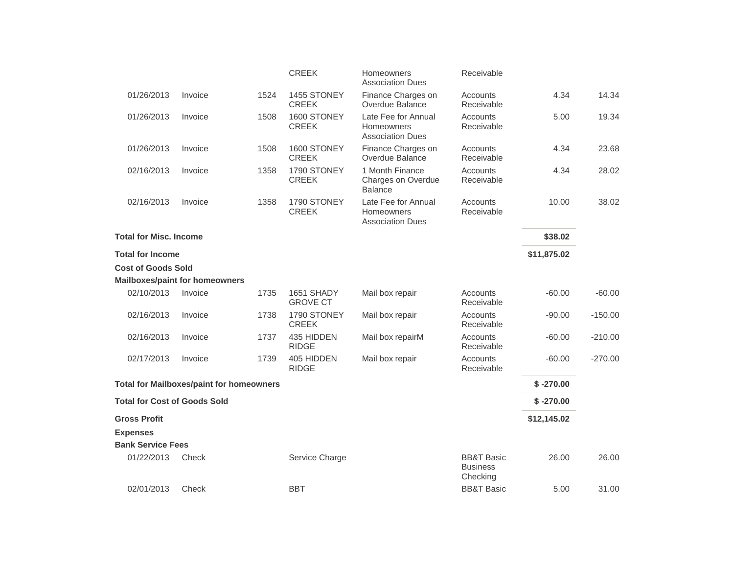|                                     |                                                 |      | <b>CREEK</b>                  | Homeowners<br><b>Association Dues</b>                               | Receivable                                           |             |           |
|-------------------------------------|-------------------------------------------------|------|-------------------------------|---------------------------------------------------------------------|------------------------------------------------------|-------------|-----------|
| 01/26/2013                          | Invoice                                         | 1524 | 1455 STONEY<br><b>CREEK</b>   | Finance Charges on<br>Overdue Balance                               | Accounts<br>Receivable                               | 4.34        | 14.34     |
| 01/26/2013                          | Invoice                                         | 1508 | 1600 STONEY<br><b>CREEK</b>   | Late Fee for Annual<br><b>Homeowners</b><br><b>Association Dues</b> | Accounts<br>Receivable                               | 5.00        | 19.34     |
| 01/26/2013                          | Invoice                                         | 1508 | 1600 STONEY<br><b>CREEK</b>   | Finance Charges on<br>Overdue Balance                               | Accounts<br>Receivable                               | 4.34        | 23.68     |
| 02/16/2013                          | Invoice                                         | 1358 | 1790 STONEY<br><b>CREEK</b>   | 1 Month Finance<br>Charges on Overdue<br><b>Balance</b>             | Accounts<br>Receivable                               | 4.34        | 28.02     |
| 02/16/2013                          | Invoice                                         | 1358 | 1790 STONEY<br><b>CREEK</b>   | Late Fee for Annual<br>Homeowners<br><b>Association Dues</b>        | Accounts<br>Receivable                               | 10.00       | 38.02     |
| <b>Total for Misc. Income</b>       |                                                 |      |                               |                                                                     |                                                      | \$38.02     |           |
| <b>Total for Income</b>             |                                                 |      |                               |                                                                     |                                                      | \$11,875.02 |           |
| <b>Cost of Goods Sold</b>           |                                                 |      |                               |                                                                     |                                                      |             |           |
|                                     | <b>Mailboxes/paint for homeowners</b>           |      |                               |                                                                     |                                                      |             |           |
| 02/10/2013                          | Invoice                                         | 1735 | 1651 SHADY<br><b>GROVE CT</b> | Mail box repair                                                     | Accounts<br>Receivable                               | $-60.00$    | $-60.00$  |
| 02/16/2013                          | Invoice                                         | 1738 | 1790 STONEY<br><b>CREEK</b>   | Mail box repair                                                     | Accounts<br>Receivable                               | $-90.00$    | $-150.00$ |
| 02/16/2013                          | Invoice                                         | 1737 | 435 HIDDEN<br><b>RIDGE</b>    | Mail box repairM                                                    | Accounts<br>Receivable                               | $-60.00$    | $-210.00$ |
| 02/17/2013                          | Invoice                                         | 1739 | 405 HIDDEN<br><b>RIDGE</b>    | Mail box repair                                                     | Accounts<br>Receivable                               | $-60.00$    | $-270.00$ |
|                                     | <b>Total for Mailboxes/paint for homeowners</b> |      |                               |                                                                     |                                                      | $$ -270.00$ |           |
| <b>Total for Cost of Goods Sold</b> |                                                 |      |                               |                                                                     |                                                      | $$ -270.00$ |           |
| <b>Gross Profit</b>                 |                                                 |      |                               |                                                                     |                                                      | \$12,145.02 |           |
| <b>Expenses</b>                     |                                                 |      |                               |                                                                     |                                                      |             |           |
| <b>Bank Service Fees</b>            |                                                 |      |                               |                                                                     |                                                      |             |           |
| 01/22/2013                          | Check                                           |      | Service Charge                |                                                                     | <b>BB&amp;T Basic</b><br><b>Business</b><br>Checking | 26.00       | 26.00     |
| 02/01/2013                          | Check                                           |      | <b>BBT</b>                    |                                                                     | <b>BB&amp;T Basic</b>                                | 5.00        | 31.00     |